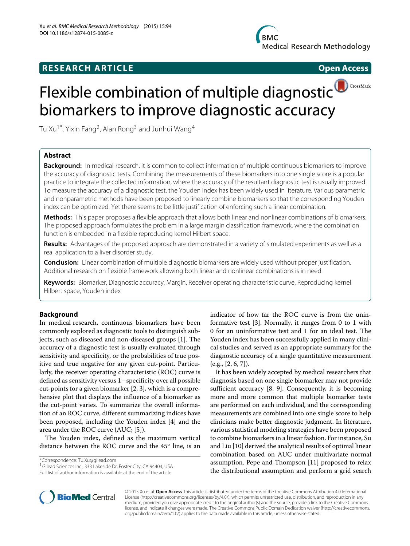## **RESEARCH ARTICLE Open Access**

# CrossMark Flexible combination of multiple diagnosti[c](http://crossmark.crossref.org/dialog/?doi=10.1186/s12874-015-0085-z-x&domain=pdf) biomarkers to improve diagnostic accuracy

Tu Xu<sup>1\*</sup>, Yixin Fang<sup>2</sup>, Alan Rong<sup>3</sup> and Junhui Wang<sup>4</sup>

## **Abstract**

**Background:** In medical research, it is common to collect information of multiple continuous biomarkers to improve the accuracy of diagnostic tests. Combining the measurements of these biomarkers into one single score is a popular practice to integrate the collected information, where the accuracy of the resultant diagnostic test is usually improved. To measure the accuracy of a diagnostic test, the Youden index has been widely used in literature. Various parametric and nonparametric methods have been proposed to linearly combine biomarkers so that the corresponding Youden index can be optimized. Yet there seems to be little justification of enforcing such a linear combination.

**Methods:** This paper proposes a flexible approach that allows both linear and nonlinear combinations of biomarkers. The proposed approach formulates the problem in a large margin classification framework, where the combination function is embedded in a flexible reproducing kernel Hilbert space.

**Results:** Advantages of the proposed approach are demonstrated in a variety of simulated experiments as well as a real application to a liver disorder study.

**Conclusion:** Linear combination of multiple diagnostic biomarkers are widely used without proper justification. Additional research on flexible framework allowing both linear and nonlinear combinations is in need.

**Keywords:** Biomarker, Diagnostic accuracy, Margin, Receiver operating characteristic curve, Reproducing kernel Hilbert space, Youden index

## **Background**

In medical research, continuous biomarkers have been commonly explored as diagnostic tools to distinguish subjects, such as diseased and non-diseased groups [\[1\]](#page-6-0). The accuracy of a diagnostic test is usually evaluated through sensitivity and specificity, or the probabilities of true positive and true negative for any given cut-point. Particularly, the receiver operating characteristic (ROC) curve is defined as sensitivity versus 1−specificity over all possible cut-points for a given biomarker [\[2,](#page-6-1) [3\]](#page-6-2), which is a comprehensive plot that displays the influence of a biomarker as the cut-point varies. To summarize the overall information of an ROC curve, different summarizing indices have been proposed, including the Youden index [\[4\]](#page-6-3) and the area under the ROC curve (AUC; [\[5\]](#page-6-4)).

The Youden index, defined as the maximum vertical distance between the ROC curve and the 45◦ line, is an

\*Correspondence: [Tu.Xu@gilead.com](mailto: Tu.Xu@gilead.com)

<sup>1</sup> Gilead Sciences Inc., 333 Lakeside Dr, Foster City, CA 94404, USA Full list of author information is available at the end of the article

indicator of how far the ROC curve is from the uninformative test [\[3\]](#page-6-2). Normally, it ranges from 0 to 1 with 0 for an uninformative test and 1 for an ideal test. The Youden index has been successfully applied in many clinical studies and served as an appropriate summary for the diagnostic accuracy of a single quantitative measurement  $(e.g., [2, 6, 7]).$  $(e.g., [2, 6, 7]).$  $(e.g., [2, 6, 7]).$  $(e.g., [2, 6, 7]).$  $(e.g., [2, 6, 7]).$ 

It has been widely accepted by medical researchers that diagnosis based on one single biomarker may not provide sufficient accuracy [\[8,](#page-6-7) [9\]](#page-6-8). Consequently, it is becoming more and more common that multiple biomarker tests are performed on each individual, and the corresponding measurements are combined into one single score to help clinicians make better diagnostic judgment. In literature, various statistical modeling strategies have been proposed to combine biomarkers in a linear fashion. For instance, Su and Liu [\[10\]](#page-6-9) derived the analytical results of optimal linear combination based on AUC under multivariate normal assumption. Pepe and Thompson [\[11\]](#page-6-10) proposed to relax the distributional assumption and perform a grid search



© 2015 Xu et al. **Open Access** This article is distributed under the terms of the Creative Commons Attribution 4.0 International License [\(http://creativecommons.org/licenses/by/4.0/\)](http://creativecommons.org/licenses/by/4.0/), which permits unrestricted use, distribution, and reproduction in any medium, provided you give appropriate credit to the original author(s) and the source, provide a link to the Creative Commons license, and indicate if changes were made. The Creative Commons Public Domain Dedication waiver [\(http://creativecommons.](http://creativecommons.org/publicdomain/zero/1.0/) [org/publicdomain/zero/1.0/\)](http://creativecommons.org/publicdomain/zero/1.0/) applies to the data made available in this article, unless otherwise stated.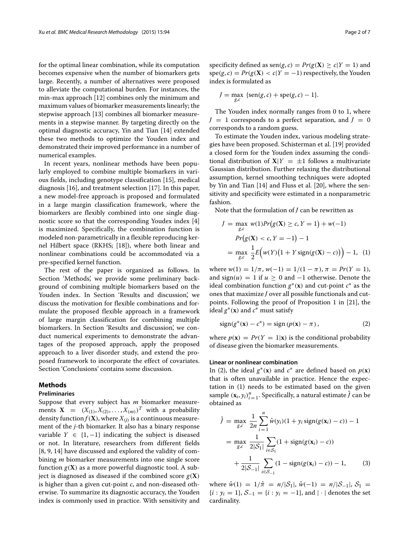for the optimal linear combination, while its computation becomes expensive when the number of biomarkers gets large. Recently, a number of alternatives were proposed to alleviate the computational burden. For instances, the min-max approach [\[12\]](#page-6-11) combines only the minimum and maximum values of biomarker measurements linearly; the stepwise approach [\[13\]](#page-6-12) combines all biomarker measurements in a stepwise manner. By targeting directly on the optimal diagnostic accuracy, Yin and Tian [\[14\]](#page-6-13) extended these two methods to optimize the Youden index and demonstrated their improved performance in a number of numerical examples.

In recent years, nonlinear methods have been popularly employed to combine multiple biomarkers in various fields, including genotype classification [\[15\]](#page-6-14), medical diagnosis [\[16\]](#page-6-15), and treatment selection [\[17\]](#page-6-16). In this paper, a new model-free approach is proposed and formulated in a large margin classification framework, where the biomarkers are flexibly combined into one single diagnostic score so that the corresponding Youdex index [\[4\]](#page-6-3) is maximized. Specifically, the combination function is modeled non-parametrically in a flexible reproducing kernel Hilbert space (RKHS; [\[18\]](#page-6-17)), where both linear and nonlinear combinations could be accommodated via a pre-specified kernel function.

The rest of the paper is organized as follows. In Section ['Methods',](#page-1-0) we provide some preliminary background of combining multiple biomarkers based on the Youden index. In Section ['Results and discussion',](#page-3-0) we discuss the motivation for flexible combinations and formulate the proposed flexible approach in a framework of large margin classification for combining multiple biomarkers. In Section ['Results and discussion',](#page-3-0) we conduct numerical experiments to demonstrate the advantages of the proposed approach, apply the proposed approach to a liver disorder study, and extend the proposed framework to incorporate the effect of covariates. Section ['Conclusions'](#page-5-0) contains some discussion.

#### <span id="page-1-0"></span>**Methods**

## **Preliminaries**

Suppose that every subject has *m* biomarker measurements  $X = (X_{(1)}, X_{(2)}, \ldots, X_{(m)})^T$  with a probability density function  $f(\mathbf{X})$ , where  $X_{(j)}$  is a continuous measurement of the *j*-th biomarker. It also has a binary response variable  $Y$  ∈  $\{1, -1\}$  indicating the subject is diseased or not. In literature, researchers from different fields [\[8,](#page-6-7) [9,](#page-6-8) [14\]](#page-6-13) have discussed and explored the validity of combining *m* biomarker measurements into one single score function  $g(X)$  as a more powerful diagnostic tool. A subject is diagnosed as diseased if the combined score  $g(X)$ is higher than a given cut-point *c*, and non-diseased otherwise. To summarize its diagnostic accuracy, the Youden index is commonly used in practice. With sensitivity and

specificity defined as  $\text{sen}(g, c) = Pr(g(\mathbf{X}) \ge c | Y = 1)$  and  $spec(g, c) = Pr(g(X) < c | Y = -1)$  respectively, the Youden index is formulated as

$$
J = \max_{g,c} \{ \text{sen}(g,c) + \text{spe}(g,c) - 1 \}.
$$

The Youden index normally ranges from 0 to 1, where  $J = 1$  corresponds to a perfect separation, and  $J = 0$ corresponds to a random guess.

To estimate the Youden index, various modeling strategies have been proposed. Schisterman et al. [\[19\]](#page-6-18) provided a closed form for the Youden index assuming the conditional distribution of  $X|Y = \pm 1$  follows a multivariate Gaussian distribution. Further relaxing the distributional assumption, kernel smoothing techniques were adopted by Yin and Tian [\[14\]](#page-6-13) and Fluss et al. [\[20\]](#page-6-19), where the sensitivity and specificity were estimated in a nonparametric fashion.

Note that the formulation of *J* can be rewritten as

<span id="page-1-2"></span>
$$
J = \max_{g,c} w(1)Pr(g(\mathbf{X}) \ge c, Y = 1) + w(-1)
$$
  
Pr(g(\mathbf{X}) < c, Y = -1) - 1  
= \max\_{g,c} \frac{1}{2}E(w(Y)(1 + Y \text{sign}(g(\mathbf{X}) - c))) - 1, (1)

where  $w(1) = 1/\pi$ ,  $w(-1) = 1/(1 - \pi)$ ,  $\pi = Pr(Y = 1)$ , and  $sign(u) = 1$  if  $u > 0$  and  $-1$  otherwise. Denote the ideal combination function  $g^*(\mathbf{x})$  and cut-point  $c^*$  as the ones that maximize *J* over all possible functionals and cutpoints. Following the proof of Proposition 1 in [\[21\]](#page-6-20), the ideal  $g^*(\mathbf{x})$  and  $c^*$  must satisfy

<span id="page-1-1"></span>
$$
sign(g^*(\mathbf{x}) - c^*) = sign(p(\mathbf{x}) - \pi), \qquad (2)
$$

where  $p(\mathbf{x}) = Pr(Y = 1|\mathbf{x})$  is the conditional probability of disease given the biomarker measurements.

#### **Linear or nonlinear combination**

In [\(2\)](#page-1-1), the ideal  $g^*(\mathbf{x})$  and  $c^*$  are defined based on  $p(\mathbf{x})$ that is often unavailable in practice. Hence the expectation in [\(1\)](#page-1-2) needs to be estimated based on the given sample  $(\mathbf{x}_i, y_i)_{i=1}^n$ . Specifically, a natural estimate  $\hat{J}$  can be obtained as

<span id="page-1-3"></span>
$$
\hat{J} = \max_{g,c} \frac{1}{2n} \sum_{i=1}^{n} \hat{w}(y_i)(1 + y_i \operatorname{sign}(g(\mathbf{x}_i) - c)) - 1
$$
  
= 
$$
\max_{g,c} \frac{1}{2|\mathcal{S}_1|} \sum_{i \in \mathcal{S}_1} (1 + \operatorname{sign}(g(\mathbf{x}_i) - c)) + \frac{1}{2|\mathcal{S}_{-1}|} \sum_{i \in \mathcal{S}_{-1}} (1 - \operatorname{sign}(g(\mathbf{x}_i) - c)) - 1,
$$
 (3)

where  $\hat{w}(1) = 1/\hat{\pi} = n/|\mathcal{S}_1|$ ,  $\hat{w}(-1) = n/|\mathcal{S}_{-1}|$ ,  $\mathcal{S}_1 =$  ${i : y_i = 1}, \mathcal{S}_{-1} = {i : y_i = -1}, \text{ and } | \cdot | \text{ denotes the set}$ cardinality.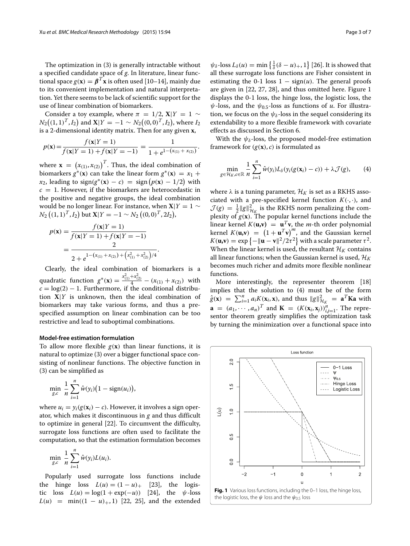The optimization in [\(3\)](#page-1-3) is generally intractable without a specified candidate space of *g*. In literature, linear functional space  $g(x) = \beta^{T}x$  is often used [\[10–](#page-6-9)[14\]](#page-6-13), mainly due to its convenient implementation and natural interpretation. Yet there seems to be lack of scientific support for the use of linear combination of biomarkers.

Consider a toy example, where  $\pi = 1/2$ , **X**|*Y* = 1 ∼  $N_2((1,1)^T, I_2)$  and  $\mathbf{X}|Y = -1 \sim N_2((0,0)^T, I_2)$ , where  $I_2$ is a 2-dimensional identity matrix. Then for any given **x**,

$$
p(\mathbf{x}) = \frac{f(\mathbf{x}|Y=1)}{f(\mathbf{x}|Y=1) + f(\mathbf{x}|Y=-1)} = \frac{1}{1 + e^{1 - (x_{(1)} + x_{(2)})}}.
$$

where  $\mathbf{x} = (x_{(1)}, x_{(2)})^T$ . Thus, the ideal combination of biomarkers  $g^*(\mathbf{x})$  can take the linear form  $g^*(\mathbf{x}) = x_1 +$  $x_2$ , leading to  $sign(g^*(\mathbf{x}) - c) = sign(p(\mathbf{x}) - 1/2)$  with  $c = 1$ . However, if the biomarkers are heterocedastic in the positive and negative groups, the ideal combination would be no longer linear. For instance, when  $X|Y = 1$  ∼  $N_2((1,1)^T,I_2)$  but  $\mathbf{X}|Y = -1 \sim N_2((0,0)^T,2I_2)$ ,

$$
p(\mathbf{x}) = \frac{f(\mathbf{x}|Y=1)}{f(\mathbf{x}|Y=1) + f(\mathbf{x}|Y=-1)}
$$
  
= 
$$
\frac{2}{2 + e^{1-(x_{(1)}+x_{(2)}) + (x_{(1)}^2+x_{(2)}^2)/4}}.
$$

Clearly, the ideal combination of biomarkers is a quadratic function  $g^*(\mathbf{x}) = \frac{x_{(1)}^2 + x_{(2)}^2}{4} - (x_{(1)} + x_{(2)})$  with  $c = \log(2) - 1$ . Furthermore, if the conditional distribution **X**|*Y* is unknown, then the ideal combination of biomarkers may take various forms, and thus a prespecified assumption on linear combination can be too restrictive and lead to suboptimal combinations.

#### **Model-free estimation formulation**

To allow more flexible  $g(x)$  than linear functions, it is natural to optimize [\(3\)](#page-1-3) over a bigger functional space consisting of nonlinear functions. The objective function in [\(3\)](#page-1-3) can be simplified as

$$
\min_{g,c} \frac{1}{n} \sum_{i=1}^n \hat{w}(y_i) \big(1 - \text{sign}(u_i)\big),
$$

where  $u_i = y_i(g(\mathbf{x}_i) - c)$ . However, it involves a sign operator, which makes it discontinuous in *g* and thus difficult to optimize in general [\[22\]](#page-6-21). To circumvent the difficulty, surrogate loss functions are often used to facilitate the computation, so that the estimation formulation becomes

$$
\min_{g,c} \frac{1}{n} \sum_{i=1}^n \hat{w}(y_i) L(u_i).
$$

Popularly used surrogate loss functions include the hinge loss  $L(u) = (1 - u)_+$  [\[23\]](#page-6-22), the logistic loss  $L(u) = \log(1 + \exp(-u))$  [\[24\]](#page-6-23), the  $\psi$ -loss  $L(u) = \min((1 - u)_+, 1)$  [\[22,](#page-6-21) [25\]](#page-6-24), and the extended

 $\psi_{\delta}$ -loss  $L_{\delta}(u) = \min\left\{\frac{1}{\delta}(\delta - u)_+, 1\right\}$  [\[26\]](#page-6-25). It is showed that all these surrogate loss functions are Fisher consistent in estimating the 0-1 loss  $1 - sign(u)$ . The general proofs are given in [\[22,](#page-6-21) [27,](#page-6-26) [28\]](#page-6-27), and thus omitted here. Figure [1](#page-2-0) displays the 0-1 loss, the hinge loss, the logistic loss, the  $\psi$ -loss, and the  $\psi_{0.5}$ -loss as functions of *u*. For illustration, we focus on the  $\psi_{\delta}$ -loss in the sequel considering its extendability to a more flexible framework with covariate effects as discussed in Section 6.

<span id="page-2-1"></span>With the  $\psi_{\delta}$ -loss, the proposed model-free estimation framework for  $(g(x), c)$  is formulated as

$$
\min_{g \in \mathcal{H}_K, c \in \mathbb{R}} \frac{1}{n} \sum_{i=1}^n \hat{w}(y_i) L_\delta(y_i(g(\mathbf{x}_i) - c)) + \lambda \mathcal{J}(g), \qquad (4)
$$

where  $\lambda$  is a tuning parameter,  $\mathcal{H}_K$  is set as a RKHS associated with a pre-specified kernel function  $K(\cdot, \cdot)$ , and  $\mathcal{J}(g) = \frac{1}{2} ||g||_{\mathcal{H}_K}^2$  is the RKHS norm penalizing the complexity of  $g(\mathbf{x})$ . The popular kernel functions include the linear kernel  $K(\mathbf{u}, \mathbf{v}) = \mathbf{u}^T \mathbf{v}$ , the *m*-th order polynomial kernel  $K(\mathbf{u}, \mathbf{v}) = (1 + \mathbf{u}^T \mathbf{v})^m$ , and the Gaussian kernel  $K(\mathbf{u}, \mathbf{v}) = \exp \left\{ -\|\mathbf{u} - \mathbf{v}\|^2 / 2\tau^2 \right\}$  with a scale parameter  $\tau^2$ . When the linear kernel is used, the resultant  $\mathcal{H}_K$  contains all linear functions; when the Gaussian kernel is used,  $\mathcal{H}_K$ becomes much richer and admits more flexible nonlinear functions.

More interestingly, the representer theorem [\[18\]](#page-6-17) implies that the solution to [\(4\)](#page-2-1) must be of the form  $\hat{g}(\mathbf{x}) = \sum_{i=1}^{n} a_i K(\mathbf{x}_i, \mathbf{x})$ , and thus  $||g||^2_{\mathcal{H}_K} = \mathbf{a}^T \mathbf{K} \mathbf{a}$  with **a** =  $(a_1, \dots, a_n)^T$  and **K** =  $(K(\mathbf{x}_i, \mathbf{x}_j))_{i,j=1}^n$ . The representor theorem greatly simplifies the optimization task by turning the minimization over a functional space into

<span id="page-2-0"></span>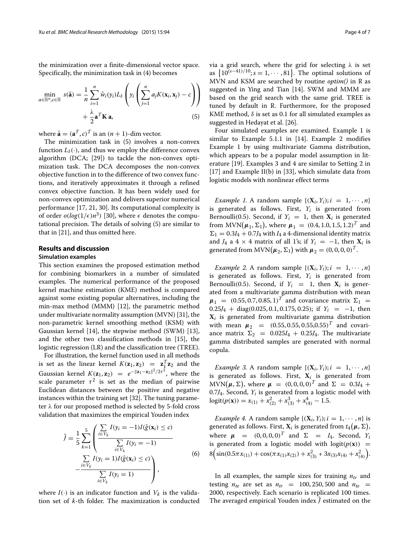the minimization over a finite-dimensional vector space. Specifically, the minimization task in [\(4\)](#page-2-1) becomes

$$
\min_{a \in \mathbb{R}^n, c \in \mathbb{R}} s(\tilde{\mathbf{a}}) = \frac{1}{n} \sum_{i=1}^n \hat{w}_i(y_i) L_\delta \left( y_i \left( \sum_{j=1}^n a_j K(\mathbf{x}_i, \mathbf{x}_j) - c \right) \right) + \frac{\lambda}{2} \mathbf{a}^T \mathbf{K} \mathbf{a},
$$
\n(5)

where  $\tilde{\mathbf{a}} = (\mathbf{a}^T, c)^T$  is an  $(n + 1)$ -dim vector.

The minimization task in [\(5\)](#page-3-1) involves a non-convex function  $L_{\delta}(\cdot)$ , and thus we employ the difference convex algorithm (DCA; [\[29\]](#page-6-28)) to tackle the non-convex optimization task. The DCA decomposes the non-convex objective function in to the difference of two convex functions, and iteratively approximates it through a refined convex objective function. It has been widely used for non-convex optimization and delivers superior numerical performance [\[17,](#page-6-16) [21,](#page-6-20) [30\]](#page-6-29). Its computational complexity is of order  $o(log(1/\epsilon)n^3)$  [\[30\]](#page-6-29), where  $\epsilon$  denotes the computational precision. The details of solving [\(5\)](#page-3-1) are similar to that in [\[21\]](#page-6-20), and thus omitted here.

#### <span id="page-3-0"></span>**Results and discussion**

## **Simulation examples**

This section examines the proposed estimation method for combining biomarkers in a number of simulated examples. The numerical performance of the proposed kernel machine estimation (KME) method is compared against some existing popular alternatives, including the min-max method (MMM) [\[12\]](#page-6-11), the parametric method under multivariate normality assumption (MVN) [\[31\]](#page-6-30), the non-parametric kernel smoothing method (KSM) with Gaussian kernel [\[14\]](#page-6-13), the stepwise method (SWM) [\[13\]](#page-6-12), and the other two classification methods in [\[15\]](#page-6-14), the logistic regression (LR) and the classification tree (TREE).

For illustration, the kernel function used in all methods is set as the linear kernel  $K(\mathbf{z}_1, \mathbf{z}_2) = \mathbf{z}_1^T \mathbf{z}_2$  and the Gaussian kernel  $K(\mathbf{z}_1, \mathbf{z}_2) = e^{-\|\mathbf{z}_1 - \mathbf{z}_2\|^2/2\tau^2}$ , where the scale parameter  $\tau^2$  is set as the median of pairwise Euclidean distances between the positive and negative instances within the training set [\[32\]](#page-6-31). The tuning parameter  $\lambda$  for our proposed method is selected by 5-fold cross validation that maximizes the empirical Youden index

$$
\tilde{J} = \frac{1}{5} \sum_{k=1}^{5} \left( \frac{\sum_{i \in V_k} I(y_i = -1)I(\hat{g}(\mathbf{x}_i) \le c)}{\sum_{i \in V_k} I(y_i = -1)} - \frac{\sum_{i \in V_k} I(y_i = 1)I(\hat{g}(\mathbf{x}_i) \le c)}{\sum_{i \in V_k} I(y_i = 1)} \right),
$$
\n(6)

where  $I(\cdot)$  is an indicator function and  $V_k$  is the validation set of *k*-th folder. The maximization is conducted via a grid search, where the grid for selecting  $\lambda$  is set as  $\left\{10^{(s-41)/10}; s=1,\cdots,81\right\}$ . The optimal solutions of MVN and KSM are searched by routine *optim()* in R as suggested in Ying and Tian [\[14\]](#page-6-13). SWM and MMM are based on the grid search with the same grid. TREE is tuned by default in R. Furthermore, for the proposed KME method,  $\delta$  is set as 0.1 for all simulated examples as suggested in Hedayat et al. [\[26\]](#page-6-25).

<span id="page-3-1"></span>Four simulated examples are examined. Example [1](#page-3-2) is similar to Example 5.1.1 in [\[14\]](#page-6-13). Example [2](#page-3-3) modifies Example [1](#page-3-2) by using multivariate Gamma distribution, which appears to be a popular model assumption in literature [\[19\]](#page-6-18). Examples [3](#page-3-4) and [4](#page-3-5) are similar to Setting 2 in [\[17\]](#page-6-16) and Example II(b) in [\[33\]](#page-6-32), which simulate data from logistic models with nonlinear effect terms

<span id="page-3-2"></span>*Example 1.* A random sample  $\{(X_i, Y_i); i = 1, \dots, n\}$ is generated as follows. First, *Yi* is generated from Bernoulli(0.5). Second, if  $Y_i = 1$ , then  $X_i$  is generated from  $MVN(\mu_1, \Sigma_1)$ , where  $\mu_1 = (0.4, 1.0, 1.5, 1.2)^T$  and  $\Sigma_1 = 0.3I_4 + 0.7J_4$  with  $I_4$  a 4-dimensional identity matrix and *J*<sub>4</sub> a 4 × 4 matrix of all 1's; if  $Y_i = -1$ , then  $X_i$  is generated from  $MVN(\mu_2, \Sigma_1)$  with  $\mu_2 = (0, 0, 0, 0)^T$ .

<span id="page-3-3"></span>*Example 2.* A random sample  $\{(X_i, Y_i); i = 1, \dots, n\}$ is generated as follows. First, *Yi* is generated from Bernoulli(0.5). Second, if  $Y_i = 1$ , then  $X_i$  is generated from a multivariate gamma distribution with mean  $\mu_1$  = (0.55, 0.7, 0.85, 1)<sup>T</sup> and covariance matrix  $\Sigma_1$  =  $0.25J_4$  + diag(0.025, 0.1, 0.175, 0.25); if  $Y_i$  = -1, then **X***<sup>i</sup>* is generated from multivariate gamma distribution with mean  $\mu_2 = (0.55, 0.55, 0.55, 0.55)^T$  and covariance matrix  $\Sigma_2 = 0.025I_4 + 0.25J_4$ . The multivariate gamma distributed samples are generated with normal copula.

<span id="page-3-4"></span>*Example 3.* A random sample  $\{(X_i, Y_i); i = 1, \dots, n\}$ is generated as follows. First,  $X_i$  is generated from  $MVN(\mu, Σ)$ , where  $\mu = (0, 0, 0, 0)^T$  and  $Σ = 0.3I_4 +$ 0.7 $J_4$ . Second,  $Y_i$  is generated from a logistic model with  $logit(p(\mathbf{x})) = x_{(1)} + x_{(2)}^2 + x_{(3)}^3 + x_{(4)}^4 - 1.5.$ 

<span id="page-3-6"></span><span id="page-3-5"></span>*Example 4.* A random sample  $\{(\mathbf{X}_i, Y_i); i = 1, \dots, n\}$  is generated as follows. First,  $\mathbf{X}_i$  is generated from  $t_4(\boldsymbol{\mu}, \Sigma),$ where  $\mu = (0, 0, 0, 0)^T$  and  $\Sigma = I_4$ . Second,  $Y_i$ is generated from a logistic model with  $logit(p(x))$  =  $8\left(\sin(0.5\pi x_{(1)}) + \cos(\pi x_{(1)}x_{(2)}) + x_{(3)}^2 + 3x_{(3)}x_{(4)} + x_{(4)}^2\right).$ 

In all examples, the sample sizes for training *ntr* and testing  $n_{te}$  are set as  $n_{tr} = 100, 250, 500$  and  $n_{te} =$ 2000, respectively. Each scenario is replicated 100 times. The averaged empirical Youden index  $\hat{j}$  estimated on the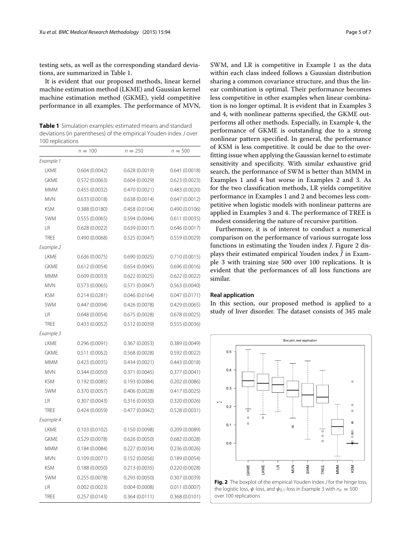testing sets, as well as the corresponding standard deviations, are summarized in Table [1.](#page-4-0)

It is evident that our proposed methods, linear kernel machine estimation method (LKME) and Gaussian kernel machine estimation method (GKME), yield competitive performance in all examples. The performance of MVN,

<span id="page-4-0"></span>**Table 1** Simulation examples: estimated means and standard deviations (in parentheses) of the empirical Youden index J over 100 replications

|             | $n = 100$      | $n = 250$      | $n = 500$      |
|-------------|----------------|----------------|----------------|
| Example 1   |                |                |                |
| <b>LKME</b> | 0.604(0.0042)  | 0.628(0.0019)  | 0.641(0.0018)  |
| <b>GKME</b> | 0.572(0.0063)  | 0.604(0.0029)  | 0.623(0.0023)  |
| <b>MMM</b>  | 0.455(0.0032)  | 0.470(0.0021)  | 0.483(0.0020)  |
| <b>MVN</b>  | 0.633(0.0018)  | 0.638(0.0014)  | 0.647(0.0012)  |
| <b>KSM</b>  | 0.388(0.0180)  | 0.458(0.0104)  | 0.490 (0.0106) |
| <b>SWM</b>  | 0.555(0.0065)  | 0.594(0.0044)  | 0.611(0.0035)  |
| <b>LR</b>   | 0.628(0.0022)  | 0.639(0.0017)  | 0.646 (0.0017) |
| <b>TREE</b> | 0.490 (0.0068) | 0.525(0.0047)  | 0.559 (0.0029) |
| Example 2   |                |                |                |
| LKME        | 0.636(0.0075)  | 0.690(0.0025)  | 0.710(0.0015)  |
| <b>GKME</b> | 0.612(0.0054)  | 0.654(0.0045)  | 0.696(0.0016)  |
| <b>MMM</b>  | 0.609(0.0033)  | 0.622(0.0025)  | 0.622 (0.0022) |
| <b>MVN</b>  | 0.573(0.0065)  | 0.571(0.0047)  | 0.563(0.0040)  |
| <b>KSM</b>  | 0.214(0.0281)  | 0.046(0.0164)  | 0.047(0.0171)  |
| <b>SWM</b>  | 0.447(0.0094)  | 0.426 (0.0078) | 0.429 (0.0065) |
| LR          | 0.648(0.0054)  | 0.675(0.0028)  | 0.678(0.0025)  |
| TRFF        | 0.433(0.0052)  | 0.512 (0.0039) | 0.555 (0.0036) |
| Example 3   |                |                |                |
| <b>LKME</b> | 0.296(0.0091)  | 0.367(0.0053)  | 0.389 (0.0049) |
| <b>GKME</b> | 0.511(0.0052)  | 0.568 (0.0028) | 0.592 (0.0022) |
| <b>MMM</b>  | 0.423(0.0035)  | 0.434(0.0021)  | 0.443 (0.0018) |
| <b>MVN</b>  | 0.344(0.0050)  | 0.371(0.0045)  | 0.377(0.0041)  |
| <b>KSM</b>  | 0.192(0.0085)  | 0.193(0.0084)  | 0.202(0.0086)  |
| <b>SWM</b>  | 0.370 (0.0057) | 0.406(0.0028)  | 0.417(0.0025)  |
| LR          | 0.307(0.0043)  | 0.316 (0.0030) | 0.320 (0.0026) |
| <b>TREE</b> | 0.424(0.0059)  | 0.477(0.0042)  | 0.528 (0.0031) |
| Example 4   |                |                |                |
| LKME        | 0.103(0.0102)  | 0.150(0.0098)  | 0.209(0.0089)  |
| <b>GKME</b> | 0.529(0.0078)  | 0.626(0.0050)  | 0.682(0.0028)  |
| <b>MMM</b>  | 0.184(0.0084)  | 0.227(0.0034)  | 0.236(0.0026)  |
| <b>MVN</b>  | 0.109(0.0071)  | 0.152(0.0056)  | 0.189(0.0054)  |
| <b>KSM</b>  | 0.188(0.0050)  | 0.213(0.0035)  | 0.220(0.0028)  |
| <b>SWM</b>  | 0.255(0.0078)  | 0.293(0.0050)  | 0.307 (0.0039) |
| LR          | 0.002(0.0023)  | 0.004(0.0008)  | 0.011(0.0007)  |
| TREE        | 0.257(0.0143)  | 0.364(0.0111)  | 0.368 (0.0101) |

SWM, and LR is competitive in Example [1](#page-3-2) as the data within each class indeed follows a Gaussian distribution sharing a common covariance structure, and thus the linear combination is optimal. Their performance becomes less competitive in other examples when linear combination is no longer optimal. It is evident that in Examples [3](#page-3-4) and [4,](#page-3-5) with nonlinear patterns specified, the GKME outperforms all other methods. Especially, in Example [4,](#page-3-5) the performance of GKME is outstanding due to a strong nonlinear pattern specified. In general, the performance of KSM is less competitive. It could be due to the overfitting issue when applying the Gaussian kernel to estimate sensitivity and specificity. With similar exhaustive grid search, the performance of SWM is better than MMM in Examples [1](#page-3-2) and [4](#page-3-5) but worse in Examples [2](#page-3-3) and [3.](#page-3-4) As for the two classification methods, LR yields competitive performance in Examples [1](#page-3-2) and [2](#page-3-3) and becomes less competitive when logistic models with nonlinear patterns are applied in Examples [3](#page-3-4) and [4.](#page-3-5) The performance of TREE is modest considering the nature of recursive partition.

Furthermore, it is of interest to conduct a numerical comparison on the performance of various surrogate loss functions in estimating the Youden index *J*. Figure [2](#page-4-1) displays their estimated empirical Youden index  $\hat{J}$  in Example [3](#page-3-4) with training size 500 over 100 replications. It is evident that the performances of all loss functions are similar.

## **Real application**

In this section, our proposed method is applied to a study of liver disorder. The dataset consists of 345 male

<span id="page-4-1"></span>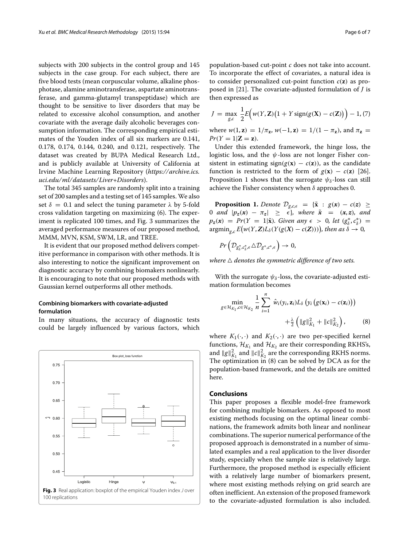subjects with 200 subjects in the control group and 145 subjects in the case group. For each subject, there are five blood tests (mean corpuscular volume, alkaline phosphotase, alamine aminotransferase, aspartate aminotransferase, and gamma-glutamyl transpeptidase) which are thought to be sensitive to liver disorders that may be related to excessive alcohol consumption, and another covariate with the average daily alcoholic beverages consumption information. The corresponding empirical estimates of the Youden index of all six markers are 0.141, 0.178, 0.174, 0.144, 0.240, and 0.121, respectively. The dataset was created by BUPA Medical Research Ltd., and is publicly available at University of California at Irvine Machine Learning Repository (*[https://archive.ics.](https://archive.ics.uci.edu/ml/datasets/Liver+Disorders) [uci.edu/ml/datasets/Liver+Disorders](https://archive.ics.uci.edu/ml/datasets/Liver+Disorders)*).

The total 345 samples are randomly split into a training set of 200 samples and a testing set of 145 samples. We also set  $\delta = 0.1$  and select the tuning parameter  $\lambda$  by 5-fold cross validation targeting on maximizing [\(6\)](#page-3-6). The experiment is replicated 100 times, and Fig. [3](#page-5-1) summarizes the averaged performance measures of our proposed method, MMM, MVN, KSM, SWM, LR, and TREE.

It is evident that our proposed method delivers competitive performance in comparison with other methods. It is also interesting to notice the significant improvement on diagnostic accuracy by combining biomakers nonlinearly. It is encouraging to note that our proposed methods with Gaussian kernel outperforms all other methods.

## **Combining biomarkers with covariate-adjusted formulation**

In many situations, the accuracy of diagnostic tests could be largely influenced by various factors, which

<span id="page-5-1"></span>

population-based cut-point *c* does not take into account. To incorporate the effect of covariates, a natural idea is to consider personalized cut-point function  $c(\mathbf{z})$  as proposed in [\[21\]](#page-6-20). The covariate-adjusted formulation of *J* is then expressed as

$$
J = \max_{g,c} \frac{1}{2} E\Big(w(Y, \mathbf{Z}) \big(1 + Y \operatorname{sign}(g(\mathbf{X}) - c(\mathbf{Z})\big) \Big) - 1, (7)
$$

where  $w(1, z) = 1/\pi_z$ ,  $w(-1, z) = 1/(1 - \pi_z)$ , and  $\pi_z =$  $Pr(Y = 1 | \mathbf{Z} = \mathbf{z}).$ 

Under this extended framework, the hinge loss, the logistic loss, and the  $\psi$ -loss are not longer Fisher consistent in estimating sign( $g(x) - c(z)$ ), as the candidate function is restricted to the form of  $g(\mathbf{x}) - c(\mathbf{z})$  [\[26\]](#page-6-25). Proposition [1](#page-5-2) shows that the surrogate  $\psi_{\delta}$ -loss can still achieve the Fisher consistency when  $\delta$  approaches 0.

<span id="page-5-2"></span>**Proposition 1.** *Denote*  $\mathcal{D}_{g,c,\epsilon} = {\tilde{\mathbf{x}}} : g(\mathbf{x}) - c(\mathbf{z}) \geq$ 0 *and*  $|p_z(x) - \pi_z| \ge \epsilon$ , where  $\tilde{x} = (x, z)$ , and  $p_z(x) = Pr(Y = 1|\tilde{x})$ *. Given any*  $\epsilon > 0$ *, let*  $(g_{\delta}^*, c_{\delta}^*) =$  $\argmin_{g,c} E(w(Y, \mathbf{Z})L_{\delta}(Y(g(X) - c(\mathbf{Z}))))$ , then as  $\delta \to 0$ ,

$$
Pr\left( \mathcal{D}_{g^*_\delta,c^*_\delta,\epsilon} \ \triangle \mathcal{D}_{g^*,c^*,\epsilon} \right) \rightarrow 0,
$$

*where denotes the symmetric difference of two sets.*

With the surrogate  $\psi_{\delta}$ -loss, the covariate-adjusted estimation formulation becomes

<span id="page-5-3"></span>
$$
\min_{g \in \mathcal{H}_{K_1}, c \in \mathcal{H}_{K_2}} \frac{1}{n} \sum_{i=1}^n \hat{w}_i(y_i, \mathbf{z}_i) L_\delta \left( y_i \left( g(\mathbf{x}_i) - c(\mathbf{z}_i) \right) \right) + \frac{\lambda}{2} \left( \|g\|_{K_1}^2 + \|c\|_{K_2}^2 \right), \tag{8}
$$

where  $K_1(\cdot, \cdot)$  and  $K_2(\cdot, \cdot)$  are two per-specified kernel functions,  $\mathcal{H}_{K_1}$  and  $\mathcal{H}_{K_2}$  are their corresponding RKHS's, and  $\|g\|_{K_1}^2$  and  $\|c\|_{K_2}^2$  are the corresponding RKHS norms. The optimization in [\(8\)](#page-5-3) can be solved by DCA as for the population-based framework, and the details are omitted here.

## <span id="page-5-0"></span>**Conclusions**

This paper proposes a flexible model-free framework for combining multiple biomarkers. As opposed to most existing methods focusing on the optimal linear combinations, the framework admits both linear and nonlinear combinations. The superior numerical performance of the proposed approach is demonstrated in a number of simulated examples and a real application to the liver disorder study, especially when the sample size is relatively large. Furthermore, the proposed method is especially efficient with a relatively large number of biomarkers present, where most existing methods relying on grid search are often inefficient. An extension of the proposed framework to the covariate-adjusted formulation is also included.